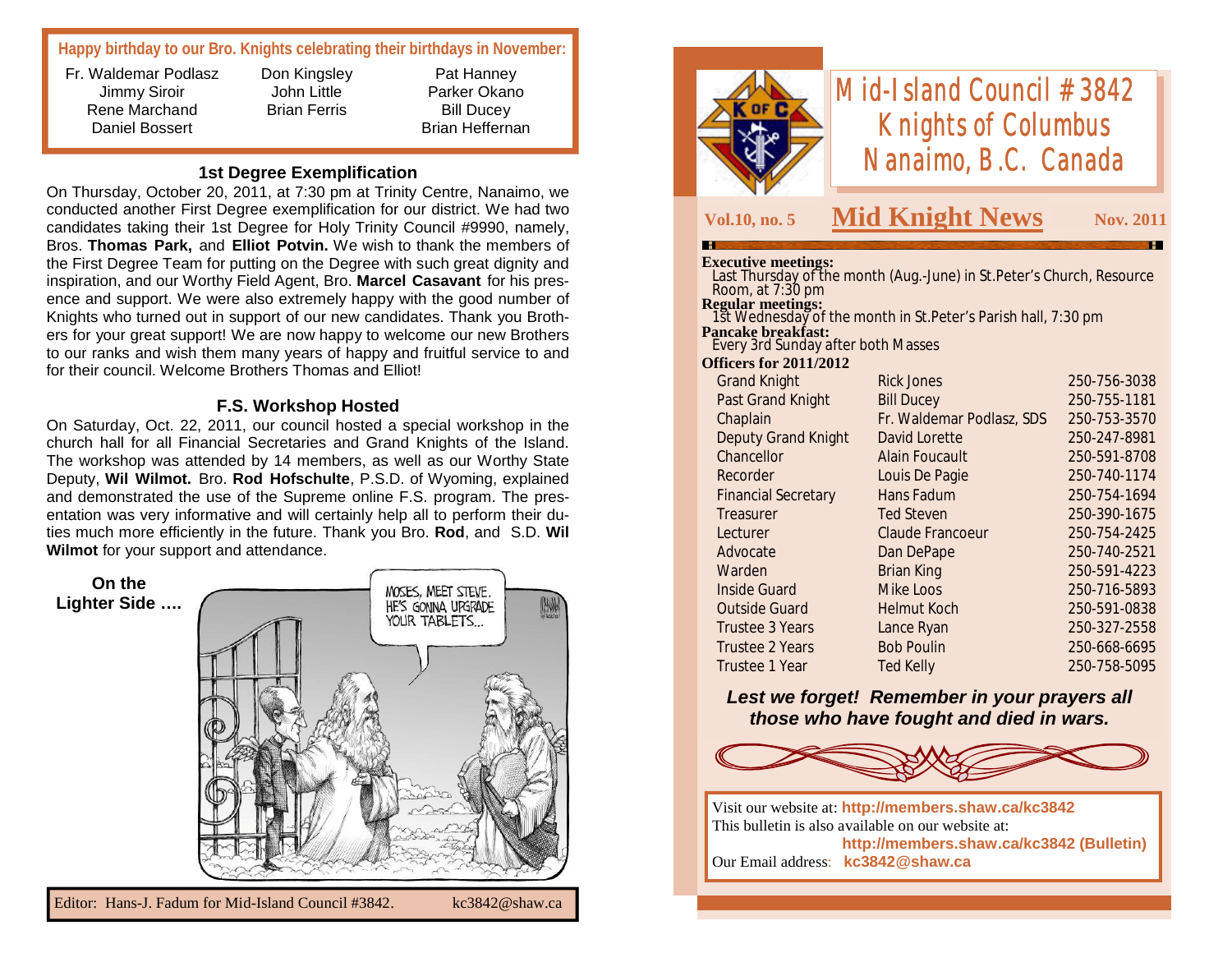# **Happy birthday to our Bro. Knights celebrating their birthdays in November:**

Fr. Waldemar Podlasz Jimmy Siroir Rene Marchand Daniel Bossert

Don Kingsley John Little Brian Ferris

Pat Hanney Parker Okano Bill Ducey Brian Heffernan

### **1st Degree Exemplification**

On Thursday, October 20, 2011, at 7:30 pm at Trinity Centre, Nanaimo, we conducted another First Degree exemplification for our district. We had two candidates taking their 1st Degree for Holy Trinity Council #9990, namely, Bros. **Thomas Park,** and **Elliot Potvin.** We wish to thank the members of the First Degree Team for putting on the Degree with such great dignity and inspiration, and our Worthy Field Agent, Bro. **Marcel Casavant** for his presence and support. We were also extremely happy with the good number of Knights who turned out in support of our new candidates. Thank you Brothers for your great support! We are now happy to welcome our new Brothers to our ranks and wish them many years of happy and fruitful service to and for their council. Welcome Brothers Thomas and Elliot!

#### **F.S. Workshop Hosted**

On Saturday, Oct. 22, 2011, our council hosted a special workshop in the church hall for all Financial Secretaries and Grand Knights of the Island. The workshop was attended by 14 members, as well as our Worthy State Deputy, **Wil Wilmot.** Bro. **Rod Hofschulte**, P.S.D. of Wyoming, explained and demonstrated the use of the Supreme online F.S. program. The presentation was very informative and will certainly help all to perform their duties much more efficiently in the future. Thank you Bro. **Rod**, and S.D. **Wil Wilmot** for your support and attendance.

**On the**  MOSES, MEET STEVE. **Lighter Side ….** HE'S GONNA UPGRADE YOUR TABLETS...



# *Mid-Island Council #3842 Knights of Columbus Nanaimo, B.C. Canada*

# **Vol.10, no. 5 Mid Knight News Nov. 2011**

#### **Executive meetings:**

 Last Thursday of the month (Aug.-June) in St.Peter's Church, Resource Room, at 7:30 pm **Regular meetings:**

 1st Wednesday of the month in St.Peter's Parish hall, 7:30 pm **Pancake breakfast:** Every 3rd Sunday after both Masses

#### **Officers for 2011/2012**

| <b>Grand Knight</b>        | Rick Jones                | 250-756-3038 |
|----------------------------|---------------------------|--------------|
| <b>Past Grand Knight</b>   | <b>Bill Ducey</b>         | 250-755-1181 |
| Chaplain                   | Fr. Waldemar Podlasz, SDS | 250-753-3570 |
| <b>Deputy Grand Knight</b> | David Lorette             | 250-247-8981 |
| Chancellor                 | <b>Alain Foucault</b>     | 250-591-8708 |
| Recorder                   | Louis De Pagie            | 250-740-1174 |
| <b>Financial Secretary</b> | Hans Fadum                | 250-754-1694 |
| Treasurer                  | <b>Ted Steven</b>         | 250-390-1675 |
| Lecturer                   | <b>Claude Francoeur</b>   | 250-754-2425 |
| Advocate                   | Dan DePape                | 250-740-2521 |
| Warden                     | <b>Brian King</b>         | 250-591-4223 |
| <b>Inside Guard</b>        | Mike Loos                 | 250-716-5893 |
| <b>Outside Guard</b>       | <b>Helmut Koch</b>        | 250-591-0838 |
| Trustee 3 Years            | Lance Ryan                | 250-327-2558 |
| <b>Trustee 2 Years</b>     | <b>Bob Poulin</b>         | 250-668-6695 |
| Trustee 1 Year             | <b>Ted Kelly</b>          | 250-758-5095 |
|                            |                           |              |

# *Lest we forget! Remember in your prayers all those who have fought and died in wars.*



Visit our website at: **http://members.shaw.ca/kc3842** This bulletin is also available on our website at: **http://members.shaw.ca/kc3842 (Bulletin)** Our Email address: **kc3842@shaw.ca**